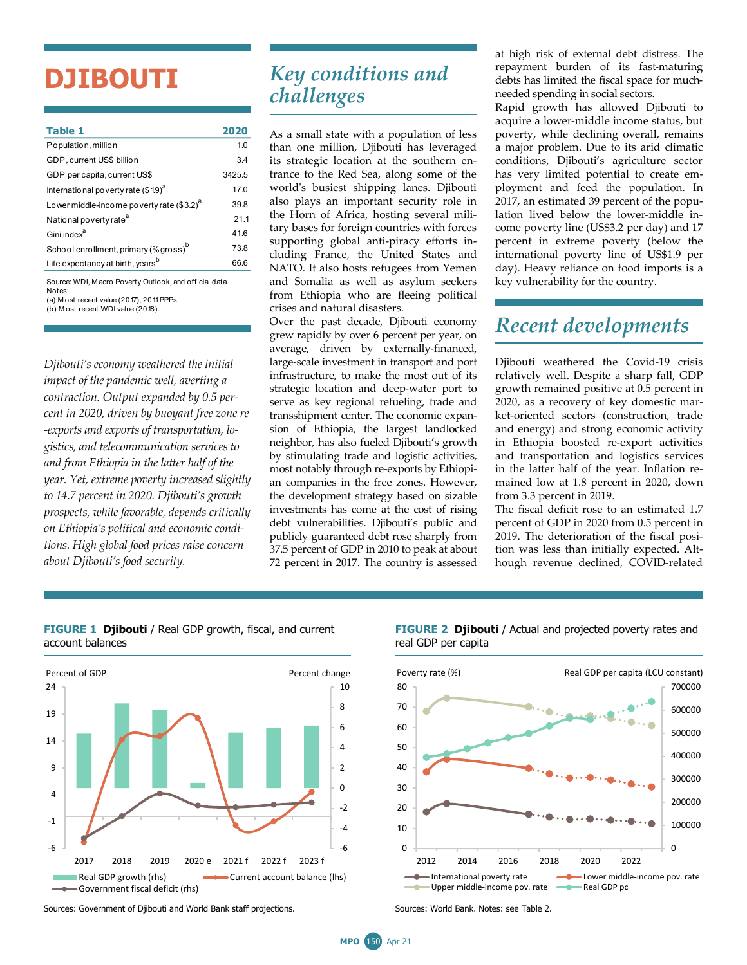# **DJIBOUTI**

| Table 1                                                                                                                                            | 2020   |
|----------------------------------------------------------------------------------------------------------------------------------------------------|--------|
| Population, million                                                                                                                                | 1.0    |
| GDP, current US\$ billion                                                                                                                          | 3.4    |
| GDP per capita, current US\$                                                                                                                       | 3425.5 |
| International poverty rate (\$19) <sup>a</sup>                                                                                                     | 17.0   |
| Lower middle-income poverty rate (\$3.2) <sup>a</sup>                                                                                              | 39.8   |
| National poverty rate <sup>a</sup>                                                                                                                 | 21.1   |
| Gini index <sup>a</sup>                                                                                                                            | 41.6   |
| School enrollment, primary (% gross) <sup>b</sup>                                                                                                  | 73.8   |
| Life expectancy at birth, years <sup>b</sup>                                                                                                       | 66.6   |
| Source: WDI, Macro Poverty Outlook, and official data.<br>Notes:<br>(a) M ost recent value (2017), 2011 PPPs.<br>(b) Most recent WDI value (2018). |        |

*Djibouti's economy weathered the initial impact of the pandemic well, averting a contraction. Output expanded by 0.5 percent in 2020, driven by buoyant free zone re -exports and exports of transportation, logistics, and telecommunication services to and from Ethiopia in the latter half of the year. Yet, extreme poverty increased slightly to 14.7 percent in 2020. Djibouti's growth prospects, while favorable, depends critically on Ethiopia's political and economic conditions. High global food prices raise concern about Djibouti's food security.* 

# *Key conditions and challenges*

As a small state with a population of less than one million, Djibouti has leveraged its strategic location at the southern entrance to the Red Sea, along some of the world's busiest shipping lanes. Djibouti also plays an important security role in the Horn of Africa, hosting several military bases for foreign countries with forces supporting global anti-piracy efforts including France, the United States and NATO. It also hosts refugees from Yemen and Somalia as well as asylum seekers from Ethiopia who are fleeing political crises and natural disasters.

Over the past decade, Djibouti economy grew rapidly by over 6 percent per year, on average, driven by externally-financed, large-scale investment in transport and port infrastructure, to make the most out of its strategic location and deep-water port to serve as key regional refueling, trade and transshipment center. The economic expansion of Ethiopia, the largest landlocked neighbor, has also fueled Djibouti's growth by stimulating trade and logistic activities, most notably through re-exports by Ethiopian companies in the free zones. However, the development strategy based on sizable investments has come at the cost of rising debt vulnerabilities. Djibouti's public and publicly guaranteed debt rose sharply from 37.5 percent of GDP in 2010 to peak at about 72 percent in 2017. The country is assessed

at high risk of external debt distress. The repayment burden of its fast-maturing debts has limited the fiscal space for muchneeded spending in social sectors.

Rapid growth has allowed Djibouti to acquire a lower-middle income status, but poverty, while declining overall, remains a major problem. Due to its arid climatic conditions, Djibouti's agriculture sector has very limited potential to create employment and feed the population. In 2017, an estimated 39 percent of the population lived below the lower-middle income poverty line (US\$3.2 per day) and 17 percent in extreme poverty (below the international poverty line of US\$1.9 per day). Heavy reliance on food imports is a key vulnerability for the country.

### *Recent developments*

Djibouti weathered the Covid-19 crisis relatively well. Despite a sharp fall, GDP growth remained positive at 0.5 percent in 2020, as a recovery of key domestic market-oriented sectors (construction, trade and energy) and strong economic activity in Ethiopia boosted re-export activities and transportation and logistics services in the latter half of the year. Inflation remained low at 1.8 percent in 2020, down from 3.3 percent in 2019.

The fiscal deficit rose to an estimated 1.7 percent of GDP in 2020 from 0.5 percent in 2019. The deterioration of the fiscal position was less than initially expected. Although revenue declined, COVID-related



#### **FIGURE 1 Djibouti** / Real GDP growth, fiscal, and current account balances

Sources: Government of Djibouti and World Bank staff projections. Surverst Sources: World Bank. Notes: see Table 2.